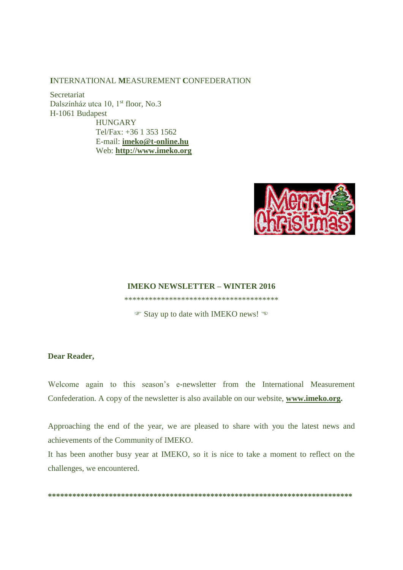#### INTERNATIONAL MEASUREMENT CONFEDERATION

Secretariat Dalszínház utca 10, 1<sup>st</sup> floor, No.3 H-1061 Budapest **HUNGARY** Tel/Fax: +36 1 353 1562 E-mail: imeko@t-online.hu Web: http://www.imeko.org



#### **IMEKO NEWSLETTER - WINTER 2016**

\*\*\*\*\*\*\*\*\*\*\*\*\*\*\*\*\*\*\*\*\*\*\*\*\*\*\*\*\*\*\*\*\*\*\*\*\*\*

• Stay up to date with IMEKO news! ⊕

#### **Dear Reader,**

Welcome again to this season's e-newsletter from the International Measurement Confederation. A copy of the newsletter is also available on our website, www.imeko.org.

Approaching the end of the year, we are pleased to share with you the latest news and achievements of the Community of IMEKO.

It has been another busy year at IMEKO, so it is nice to take a moment to reflect on the challenges, we encountered.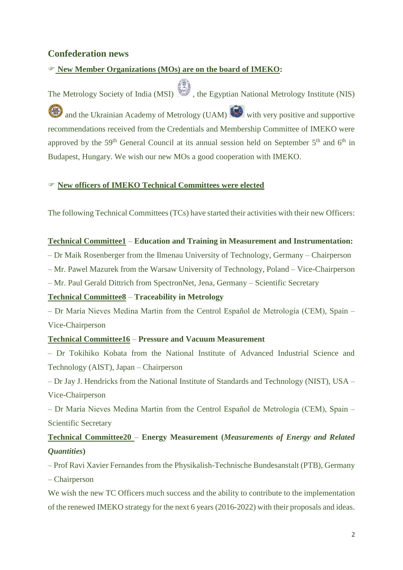# **Confederation news**

## **New Member Organizations (MOs) are on the board of IMEKO:**

The Metrology Society of India (MSI) , the Egyptian National Metrology Institute (NIS) and the Ukrainian Academy of Metrology (UAM) with very positive and supportive recommendations received from the Credentials and Membership Committee of IMEKO were approved by the 59<sup>th</sup> General Council at its annual session held on September 5<sup>th</sup> and 6<sup>th</sup> in Budapest, Hungary. We wish our new MOs a good cooperation with IMEKO.

## **New officers of IMEKO Technical Committees were elected**

The following Technical Committees (TCs) have started their activities with their new Officers:

#### **Technical Committee1** – **Education and Training in Measurement and Instrumentation:**

– Dr Maik Rosenberger from the Ilmenau University of Technology, Germany – Chairperson

– Mr. Pawel Mazurek from the Warsaw University of Technology, Poland – Vice-Chairperson

– Mr. Paul Gerald Dittrich from SpectronNet, Jena, Germany – Scientific Secretary

## **Technical Committee8** – **Traceability in Metrology**

– Dr María Nieves Medina Martin from the Centrol Español de Metrología (CEM), Spain – Vice-Chairperson

## **Technical Committee16** – **Pressure and Vacuum Measurement**

– Dr Tokihiko Kobata from the National Institute of Advanced Industrial Science and Technology (AIST), Japan – Chairperson

– Dr Jay J. Hendricks from the National Institute of Standards and Technology (NIST), USA – Vice-Chairperson

– Dr María Nieves Medina Martin from the Centrol Español de Metrología (CEM), Spain – Scientific Secretary

# **Technical Committee20** – **Energy Measurement (***Measurements of Energy and Related Quantities***)**

– Prof Ravi Xavier Fernandes from the Physikalish-Technische Bundesanstalt (PTB), Germany – Chairperson

We wish the new TC Officers much success and the ability to contribute to the implementation of the renewed IMEKO strategy for the next 6 years (2016-2022) with their proposals and ideas.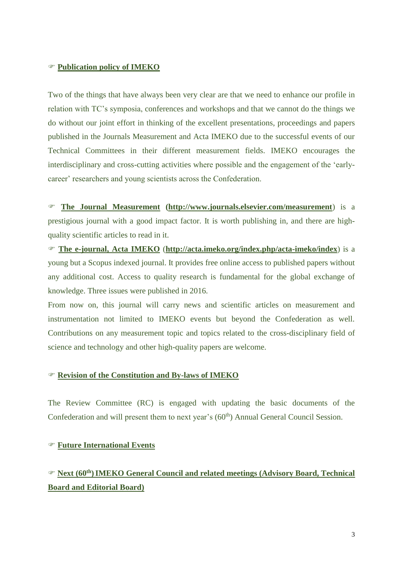### **Publication policy of IMEKO**

Two of the things that have always been very clear are that we need to enhance our profile in relation with TC's symposia, conferences and workshops and that we cannot do the things we do without our joint effort in thinking of the excellent presentations, proceedings and papers published in the Journals Measurement and Acta IMEKO due to the successful events of our Technical Committees in their different measurement fields. IMEKO encourages the interdisciplinary and cross-cutting activities where possible and the engagement of the 'earlycareer' researchers and young scientists across the Confederation.

 **The Journal Measurement [\(http://www.journals.elsevier.com/measurement](http://www.journals.elsevier.com/measurement)**) is a prestigious journal with a good impact factor. It is worth publishing in, and there are highquality scientific articles to read in it.

 **The e-journal, Acta IMEKO** (**<http://acta.imeko.org/index.php/acta-imeko/index>**) is a young but a Scopus indexed journal. It provides free online access to published papers without any additional cost. Access to quality research is fundamental for the global exchange of knowledge. Three issues were published in 2016.

From now on, this journal will carry news and scientific articles on measurement and instrumentation not limited to IMEKO events but beyond the Confederation as well. Contributions on any measurement topic and topics related to the cross-disciplinary field of science and technology and other high-quality papers are welcome.

## **Revision of the Constitution and By-laws of IMEKO**

The Review Committee (RC) is engaged with updating the basic documents of the Confederation and will present them to next year's (60<sup>th</sup>) Annual General Council Session.

### **Future International Events**

# **Next (60th)IMEKO General Council and related meetings (Advisory Board, Technical Board and Editorial Board)**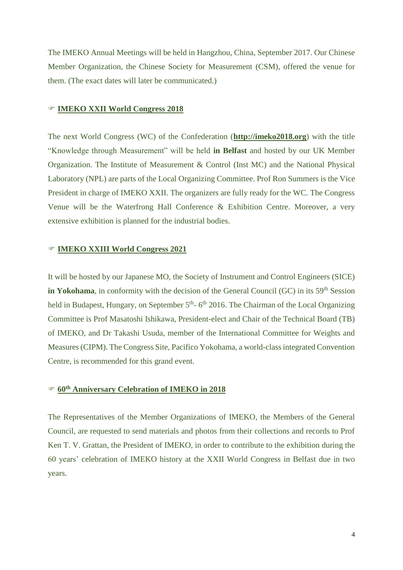The IMEKO Annual Meetings will be held in Hangzhou, China, September 2017. Our Chinese Member Organization, the Chinese Society for Measurement (CSM), offered the venue for them. (The exact dates will later be communicated.)

### **IMEKO XXII World Congress 2018**

The next World Congress (WC) of the Confederation (**[http://imeko2018.org](http://imeko2018.org/)**) with the title "Knowledge through Measurement" will be held **in Belfast** and hosted by our UK Member Organization. The Institute of Measurement & Control (Inst MC) and the National Physical Laboratory (NPL) are parts of the Local Organizing Committee. Prof Ron Summers is the Vice President in charge of IMEKO XXII. The organizers are fully ready for the WC. The Congress Venue will be the Waterfrong Hall Conference & Exhibition Centre. Moreover, a very extensive exhibition is planned for the industrial bodies.

# **IMEKO XXIII World Congress 2021**

It will be hosted by our Japanese MO, the Society of Instrument and Control Engineers (SICE) in Yokohama, in conformity with the decision of the General Council (GC) in its 59<sup>th</sup> Session held in Budapest, Hungary, on September 5<sup>th</sup>-6<sup>th</sup> 2016. The Chairman of the Local Organizing Committee is Prof Masatoshi Ishikawa, President-elect and Chair of the Technical Board (TB) of IMEKO, and Dr Takashi Usuda, member of the International Committee for Weights and Measures (CIPM). The Congress Site, Pacifico Yokohama, a world-class integrated Convention Centre, is recommended for this grand event.

## **60th Anniversary Celebration of IMEKO in 2018**

The Representatives of the Member Organizations of IMEKO, the Members of the General Council, are requested to send materials and photos from their collections and records to Prof Ken T. V. Grattan, the President of IMEKO, in order to contribute to the exhibition during the 60 years' celebration of IMEKO history at the XXII World Congress in Belfast due in two years.